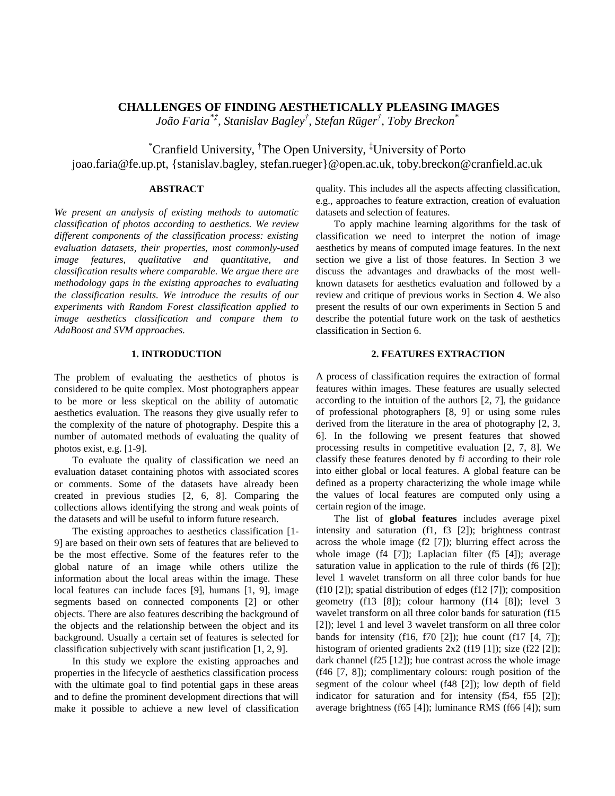## **CHALLENGES OF FINDING AESTHETICALLY PLEASING IMAGES**

*João Faria \*‡ , Stanislav Bagley † , Stefan Rüger † , Toby Breckon\**

\*Cranfield University, † The Open University, ‡University of Porto joao.faria@fe.up.pt, {stanislav.bagley, stefan.rueger}@open.ac.uk, toby.breckon@cranfield.ac.uk

# **ABSTRACT**

*We present an analysis of existing methods to automatic classification of photos according to aesthetics. We review different components of the classification process: existing evaluation datasets, their properties, most commonly-used image features, qualitative and quantitative, and classification results where comparable. We argue there are methodology gaps in the existing approaches to evaluating the classification results. We introduce the results of our experiments with Random Forest classification applied to image aesthetics classification and compare them to AdaBoost and SVM approaches.*

### **1. INTRODUCTION**

The problem of evaluating the aesthetics of photos is considered to be quite complex. Most photographers appear to be more or less skeptical on the ability of automatic aesthetics evaluation. The reasons they give usually refer to the complexity of the nature of photography. Despite this a number of automated methods of evaluating the quality of photos exist, e.g. [1-9].

To evaluate the quality of classification we need an evaluation dataset containing photos with associated scores or comments. Some of the datasets have already been created in previous studies [2, 6, 8]. Comparing the collections allows identifying the strong and weak points of the datasets and will be useful to inform future research.

The existing approaches to aesthetics classification [1- 9] are based on their own sets of features that are believed to be the most effective. Some of the features refer to the global nature of an image while others utilize the information about the local areas within the image. These local features can include faces [9], humans [1, 9], image segments based on connected components [2] or other objects. There are also features describing the background of the objects and the relationship between the object and its background. Usually a certain set of features is selected for classification subjectively with scant justification [1, 2, 9].

In this study we explore the existing approaches and properties in the lifecycle of aesthetics classification process with the ultimate goal to find potential gaps in these areas and to define the prominent development directions that will make it possible to achieve a new level of classification quality. This includes all the aspects affecting classification, e.g., approaches to feature extraction, creation of evaluation datasets and selection of features.

To apply machine learning algorithms for the task of classification we need to interpret the notion of image aesthetics by means of computed image features. In the next section we give a list of those features. In Section 3 we discuss the advantages and drawbacks of the most wellknown datasets for aesthetics evaluation and followed by a review and critique of previous works in Section 4. We also present the results of our own experiments in Section 5 and describe the potential future work on the task of aesthetics classification in Section 6.

## **2. FEATURES EXTRACTION**

A process of classification requires the extraction of formal features within images. These features are usually selected according to the intuition of the authors [2, 7], the guidance of professional photographers [8, 9] or using some rules derived from the literature in the area of photography [2, 3, 6]. In the following we present features that showed processing results in competitive evaluation [2, 7, 8]. We classify these features denoted by f*i* according to their role into either global or local features. A global feature can be defined as a property characterizing the whole image while the values of local features are computed only using a certain region of the image.

The list of **global features** includes average pixel intensity and saturation (f1, f3 [2]); brightness contrast across the whole image (f2 [7]); blurring effect across the whole image (f4 [7]); Laplacian filter (f5 [4]); average saturation value in application to the rule of thirds (f6 [2]); level 1 wavelet transform on all three color bands for hue (f10 [2]); spatial distribution of edges (f12 [7]); composition geometry (f13 [8]); colour harmony (f14 [8]); level 3 wavelet transform on all three color bands for saturation (f15 [2]); level 1 and level 3 wavelet transform on all three color bands for intensity  $(f16, f70 [2])$ ; hue count  $(f17 [4, 7])$ ; histogram of oriented gradients 2x2 (f19 [1]); size (f22 [2]); dark channel (f25 [12]); hue contrast across the whole image (f46 [7, 8]); complimentary colours: rough position of the segment of the colour wheel (f48 [2]); low depth of field indicator for saturation and for intensity (f54, f55 [2]); average brightness (f65 [4]); luminance RMS (f66 [4]); sum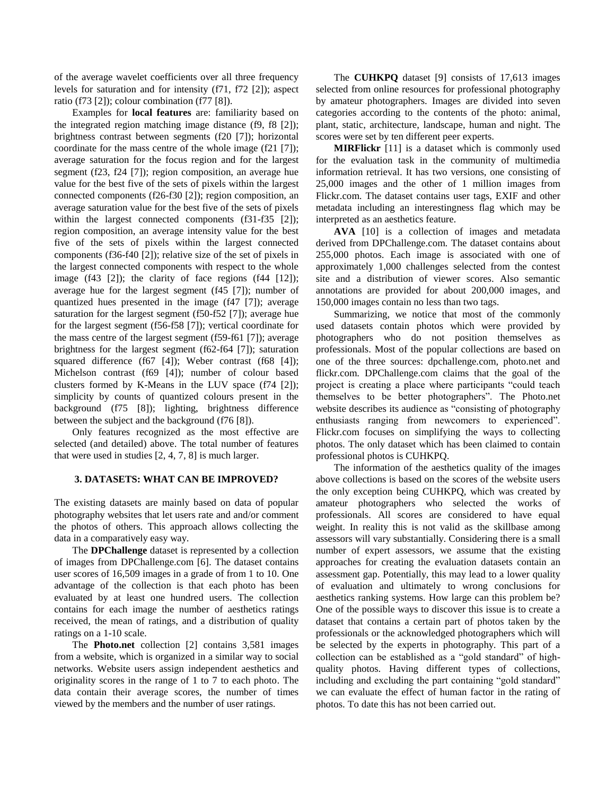of the average wavelet coefficients over all three frequency levels for saturation and for intensity (f71, f72 [2]); aspect ratio (f73 [2]); colour combination (f77 [8]).

Examples for **local features** are: familiarity based on the integrated region matching image distance (f9, f8 [2]); brightness contrast between segments (f20 [7]); horizontal coordinate for the mass centre of the whole image (f21 [7]); average saturation for the focus region and for the largest segment (f23, f24 [7]); region composition, an average hue value for the best five of the sets of pixels within the largest connected components (f26-f30 [2]); region composition, an average saturation value for the best five of the sets of pixels within the largest connected components (f31-f35 [2]); region composition, an average intensity value for the best five of the sets of pixels within the largest connected components (f36-f40 [2]); relative size of the set of pixels in the largest connected components with respect to the whole image (f43 [2]); the clarity of face regions (f44  $[12]$ ); average hue for the largest segment (f45 [7]); number of quantized hues presented in the image (f47 [7]); average saturation for the largest segment (f50-f52 [7]); average hue for the largest segment (f56-f58 [7]); vertical coordinate for the mass centre of the largest segment (f59-f61 [7]); average brightness for the largest segment (f62-f64 [7]); saturation squared difference (f67 [4]); Weber contrast (f68 [4]); Michelson contrast (f69 [4]); number of colour based clusters formed by K-Means in the LUV space (f74 [2]); simplicity by counts of quantized colours present in the background (f75 [8]); lighting, brightness difference between the subject and the background (f76 [8]).

Only features recognized as the most effective are selected (and detailed) above. The total number of features that were used in studies [2, 4, 7, 8] is much larger.

#### **3. DATASETS: WHAT CAN BE IMPROVED?**

The existing datasets are mainly based on data of popular photography websites that let users rate and and/or comment the photos of others. This approach allows collecting the data in a comparatively easy way.

The **DPChallenge** dataset is represented by a collection of images from DPChallenge.com [6]. The dataset contains user scores of 16,509 images in a grade of from 1 to 10. One advantage of the collection is that each photo has been evaluated by at least one hundred users. The collection contains for each image the number of aesthetics ratings received, the mean of ratings, and a distribution of quality ratings on a 1-10 scale.

The **Photo.net** collection [2] contains 3,581 images from a website, which is organized in a similar way to social networks. Website users assign independent aesthetics and originality scores in the range of 1 to 7 to each photo. The data contain their average scores, the number of times viewed by the members and the number of user ratings.

The **CUHKPQ** dataset [9] consists of 17,613 images selected from online resources for professional photography by amateur photographers. Images are divided into seven categories according to the contents of the photo: animal, plant, static, architecture, landscape, human and night. The scores were set by ten different peer experts.

**MIRFlickr** [11] is a dataset which is commonly used for the evaluation task in the community of multimedia information retrieval. It has two versions, one consisting of 25,000 images and the other of 1 million images from Flickr.com. The dataset contains user tags, EXIF and other metadata including an interestingness flag which may be interpreted as an aesthetics feature.

**AVA** [10] is a collection of images and metadata derived from DPChallenge.com. The dataset contains about 255,000 photos. Each image is associated with one of approximately 1,000 challenges selected from the contest site and a distribution of viewer scores. Also semantic annotations are provided for about 200,000 images, and 150,000 images contain no less than two tags.

Summarizing, we notice that most of the commonly used datasets contain photos which were provided by photographers who do not position themselves as professionals. Most of the popular collections are based on one of the three sources: dpchallenge.com, photo.net and flickr.com. DPChallenge.com claims that the goal of the project is creating a place where participants "could teach themselves to be better photographers". The Photo.net website describes its audience as "consisting of photography enthusiasts ranging from newcomers to experienced". Flickr.com focuses on simplifying the ways to collecting photos. The only dataset which has been claimed to contain professional photos is CUHKPQ.

The information of the aesthetics quality of the images above collections is based on the scores of the website users the only exception being CUHKPQ, which was created by amateur photographers who selected the works of professionals. All scores are considered to have equal weight. In reality this is not valid as the skillbase among assessors will vary substantially. Considering there is a small number of expert assessors, we assume that the existing approaches for creating the evaluation datasets contain an assessment gap. Potentially, this may lead to a lower quality of evaluation and ultimately to wrong conclusions for aesthetics ranking systems. How large can this problem be? One of the possible ways to discover this issue is to create a dataset that contains a certain part of photos taken by the professionals or the acknowledged photographers which will be selected by the experts in photography. This part of a collection can be established as a "gold standard" of highquality photos. Having different types of collections, including and excluding the part containing "gold standard" we can evaluate the effect of human factor in the rating of photos. To date this has not been carried out.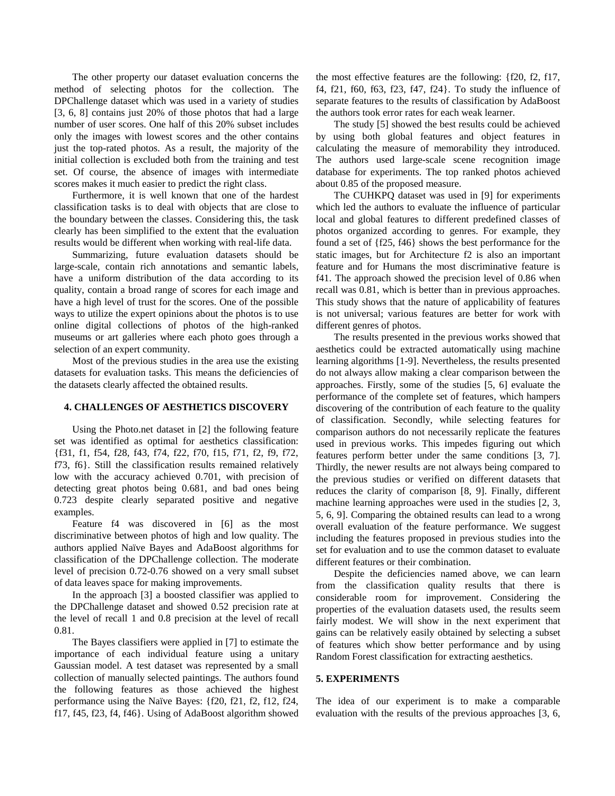The other property our dataset evaluation concerns the method of selecting photos for the collection. The DPChallenge dataset which was used in a variety of studies [3, 6, 8] contains just 20% of those photos that had a large number of user scores. One half of this 20% subset includes only the images with lowest scores and the other contains just the top-rated photos. As a result, the majority of the initial collection is excluded both from the training and test set. Of course, the absence of images with intermediate scores makes it much easier to predict the right class.

Furthermore, it is well known that one of the hardest classification tasks is to deal with objects that are close to the boundary between the classes. Considering this, the task clearly has been simplified to the extent that the evaluation results would be different when working with real-life data.

Summarizing, future evaluation datasets should be large-scale, contain rich annotations and semantic labels, have a uniform distribution of the data according to its quality, contain a broad range of scores for each image and have a high level of trust for the scores. One of the possible ways to utilize the expert opinions about the photos is to use online digital collections of photos of the high-ranked museums or art galleries where each photo goes through a selection of an expert community.

Most of the previous studies in the area use the existing datasets for evaluation tasks. This means the deficiencies of the datasets clearly affected the obtained results.

#### **4. CHALLENGES OF AESTHETICS DISCOVERY**

Using the Photo.net dataset in [2] the following feature set was identified as optimal for aesthetics classification: {f31, f1, f54, f28, f43, f74, f22, f70, f15, f71, f2, f9, f72, f73, f6}. Still the classification results remained relatively low with the accuracy achieved 0.701, with precision of detecting great photos being 0.681, and bad ones being 0.723 despite clearly separated positive and negative examples.

Feature f4 was discovered in [6] as the most discriminative between photos of high and low quality. The authors applied Naïve Bayes and AdaBoost algorithms for classification of the DPChallenge collection. The moderate level of precision 0.72-0.76 showed on a very small subset of data leaves space for making improvements.

In the approach [3] a boosted classifier was applied to the DPChallenge dataset and showed 0.52 precision rate at the level of recall 1 and 0.8 precision at the level of recall 0.81.

The Bayes classifiers were applied in [7] to estimate the importance of each individual feature using a unitary Gaussian model. A test dataset was represented by a small collection of manually selected paintings. The authors found the following features as those achieved the highest performance using the Naïve Bayes: {f20, f21, f2, f12, f24, f17, f45, f23, f4, f46}. Using of AdaBoost algorithm showed the most effective features are the following: {f20, f2, f17, f4, f21, f60, f63, f23, f47, f24}. To study the influence of separate features to the results of classification by AdaBoost the authors took error rates for each weak learner.

The study [5] showed the best results could be achieved by using both global features and object features in calculating the measure of memorability they introduced. The authors used large-scale scene recognition image database for experiments. The top ranked photos achieved about 0.85 of the proposed measure.

The CUHKPQ dataset was used in [9] for experiments which led the authors to evaluate the influence of particular local and global features to different predefined classes of photos organized according to genres. For example, they found a set of {f25, f46} shows the best performance for the static images, but for Architecture f2 is also an important feature and for Humans the most discriminative feature is f41. The approach showed the precision level of 0.86 when recall was 0.81, which is better than in previous approaches. This study shows that the nature of applicability of features is not universal; various features are better for work with different genres of photos.

The results presented in the previous works showed that aesthetics could be extracted automatically using machine learning algorithms [1-9]. Nevertheless, the results presented do not always allow making a clear comparison between the approaches. Firstly, some of the studies [5, 6] evaluate the performance of the complete set of features, which hampers discovering of the contribution of each feature to the quality of classification. Secondly, while selecting features for comparison authors do not necessarily replicate the features used in previous works. This impedes figuring out which features perform better under the same conditions [3, 7]. Thirdly, the newer results are not always being compared to the previous studies or verified on different datasets that reduces the clarity of comparison [8, 9]. Finally, different machine learning approaches were used in the studies [2, 3, 5, 6, 9]. Comparing the obtained results can lead to a wrong overall evaluation of the feature performance. We suggest including the features proposed in previous studies into the set for evaluation and to use the common dataset to evaluate different features or their combination.

Despite the deficiencies named above, we can learn from the classification quality results that there is considerable room for improvement. Considering the properties of the evaluation datasets used, the results seem fairly modest. We will show in the next experiment that gains can be relatively easily obtained by selecting a subset of features which show better performance and by using Random Forest classification for extracting aesthetics.

#### **5. EXPERIMENTS**

The idea of our experiment is to make a comparable evaluation with the results of the previous approaches [3, 6,